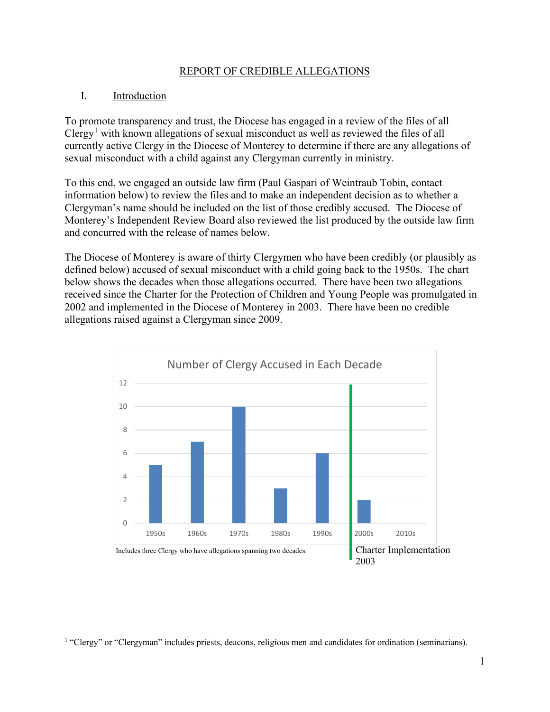#### REPORT OF CREDIBLE ALLEGATIONS

#### I. Introduction

To promote transparency and trust, the Diocese has engaged in a review of the files of all Clergy<sup>[1](#page-0-0)</sup> with known allegations of sexual misconduct as well as reviewed the files of all currently active Clergy in the Diocese of Monterey to determine if there are any allegations of sexual misconduct with a child against any Clergyman currently in ministry.

To this end, we engaged an outside law firm (Paul Gaspari of Weintraub Tobin, contact information below) to review the files and to make an independent decision as to whether a Clergyman's name should be included on the list of those credibly accused. The Diocese of Monterey's Independent Review Board also reviewed the list produced by the outside law firm and concurred with the release of names below.

The Diocese of Monterey is aware of thirty Clergymen who have been credibly (or plausibly as defined below) accused of sexual misconduct with a child going back to the 1950s. The chart below shows the decades when those allegations occurred. There have been two allegations received since the Charter for the Protection of Children and Young People was promulgated in 2002 and implemented in the Diocese of Monterey in 2003. There have been no credible allegations raised against a Clergyman since 2009.



<span id="page-0-0"></span><sup>&</sup>lt;sup>1</sup> "Clergy" or "Clergyman" includes priests, deacons, religious men and candidates for ordination (seminarians).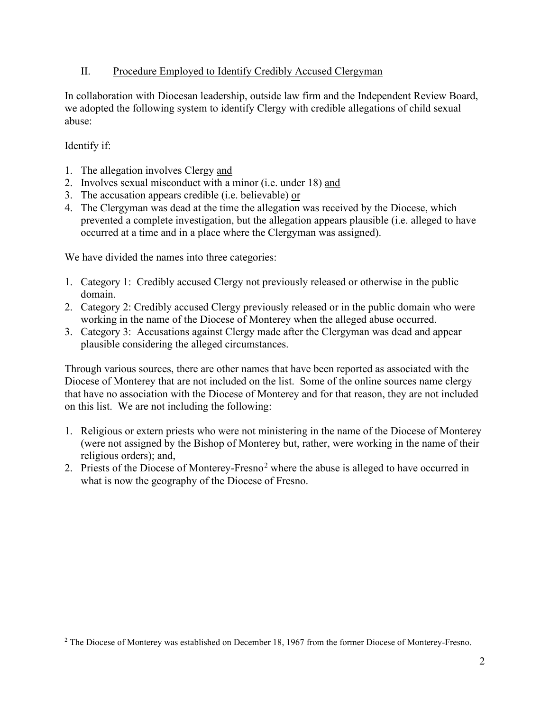## II. Procedure Employed to Identify Credibly Accused Clergyman

In collaboration with Diocesan leadership, outside law firm and the Independent Review Board, we adopted the following system to identify Clergy with credible allegations of child sexual abuse:

## Identify if:

- 1. The allegation involves Clergy and
- 2. Involves sexual misconduct with a minor (i.e. under 18) and
- 3. The accusation appears credible (i.e. believable) or
- 4. The Clergyman was dead at the time the allegation was received by the Diocese, which prevented a complete investigation, but the allegation appears plausible (i.e. alleged to have occurred at a time and in a place where the Clergyman was assigned).

We have divided the names into three categories:

- 1. Category 1: Credibly accused Clergy not previously released or otherwise in the public domain.
- 2. Category 2: Credibly accused Clergy previously released or in the public domain who were working in the name of the Diocese of Monterey when the alleged abuse occurred.
- 3. Category 3: Accusations against Clergy made after the Clergyman was dead and appear plausible considering the alleged circumstances.

Through various sources, there are other names that have been reported as associated with the Diocese of Monterey that are not included on the list. Some of the online sources name clergy that have no association with the Diocese of Monterey and for that reason, they are not included on this list. We are not including the following:

- 1. Religious or extern priests who were not ministering in the name of the Diocese of Monterey (were not assigned by the Bishop of Monterey but, rather, were working in the name of their religious orders); and,
- [2](#page-1-0). Priests of the Diocese of Monterey-Fresno<sup>2</sup> where the abuse is alleged to have occurred in what is now the geography of the Diocese of Fresno.

<span id="page-1-0"></span><sup>&</sup>lt;sup>2</sup> The Diocese of Monterey was established on December 18, 1967 from the former Diocese of Monterey-Fresno.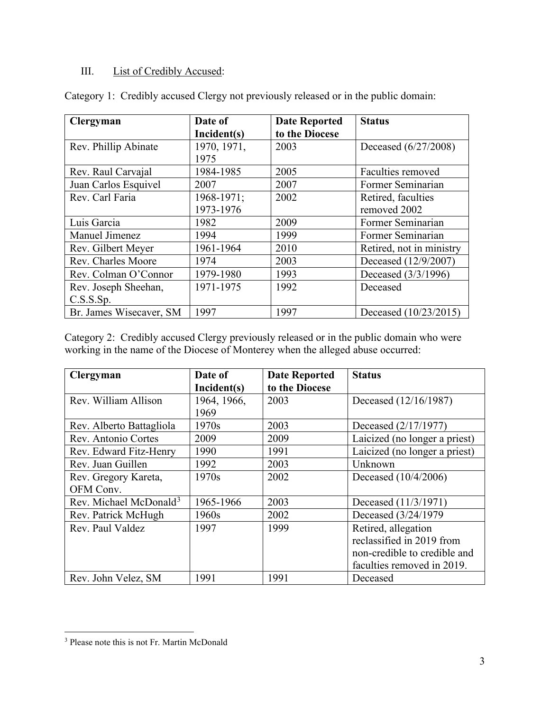# III. List of Credibly Accused:

| <b>Clergyman</b>        | Date of     | <b>Date Reported</b> | <b>Status</b>            |
|-------------------------|-------------|----------------------|--------------------------|
|                         | Incident(s) | to the Diocese       |                          |
| Rev. Phillip Abinate    | 1970, 1971, | 2003                 | Deceased (6/27/2008)     |
|                         | 1975        |                      |                          |
| Rev. Raul Carvajal      | 1984-1985   | 2005                 | Faculties removed        |
| Juan Carlos Esquivel    | 2007        | 2007                 | Former Seminarian        |
| Rev. Carl Faria         | 1968-1971;  | 2002                 | Retired, faculties       |
|                         | 1973-1976   |                      | removed 2002             |
| Luis Garcia             | 1982        | 2009                 | Former Seminarian        |
| Manuel Jimenez          | 1994        | 1999                 | Former Seminarian        |
| Rev. Gilbert Meyer      | 1961-1964   | 2010                 | Retired, not in ministry |
| Rev. Charles Moore      | 1974        | 2003                 | Deceased (12/9/2007)     |
| Rev. Colman O'Connor    | 1979-1980   | 1993                 | Deceased (3/3/1996)      |
| Rev. Joseph Sheehan,    | 1971-1975   | 1992                 | Deceased                 |
| C.S.S.S.p.              |             |                      |                          |
| Br. James Wisecaver, SM | 1997        | 1997                 | Deceased (10/23/2015)    |

Category 1: Credibly accused Clergy not previously released or in the public domain:

Category 2: Credibly accused Clergy previously released or in the public domain who were working in the name of the Diocese of Monterey when the alleged abuse occurred:

| Clergyman                          | Date of     | <b>Date Reported</b> | <b>Status</b>                 |
|------------------------------------|-------------|----------------------|-------------------------------|
|                                    | Incident(s) | to the Diocese       |                               |
| Rev. William Allison               | 1964, 1966, | 2003                 | Deceased (12/16/1987)         |
|                                    | 1969        |                      |                               |
| Rev. Alberto Battagliola           | 1970s       | 2003                 | Deceased (2/17/1977)          |
| Rev. Antonio Cortes                | 2009        | 2009                 | Laicized (no longer a priest) |
| Rev. Edward Fitz-Henry             | 1990        | 1991                 | Laicized (no longer a priest) |
| Rev. Juan Guillen                  | 1992        | 2003                 | Unknown                       |
| Rev. Gregory Kareta,               | 1970s       | 2002                 | Deceased (10/4/2006)          |
| OFM Conv.                          |             |                      |                               |
| Rev. Michael McDonald <sup>3</sup> | 1965-1966   | 2003                 | Deceased (11/3/1971)          |
| Rev. Patrick McHugh                | 1960s       | 2002                 | Deceased (3/24/1979)          |
| Rev. Paul Valdez                   | 1997        | 1999                 | Retired, allegation           |
|                                    |             |                      | reclassified in 2019 from     |
|                                    |             |                      | non-credible to credible and  |
|                                    |             |                      | faculties removed in 2019.    |
| Rev. John Velez, SM                | 1991        | 1991                 | Deceased                      |

<span id="page-2-0"></span><sup>&</sup>lt;sup>3</sup> Please note this is not Fr. Martin McDonald